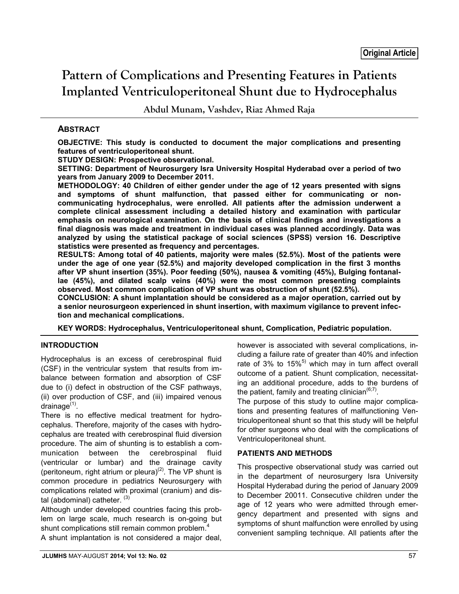# **Pattern of Complications and Presenting Features in Patients Implanted Ventriculoperitoneal Shunt due to Hydrocephalus**

**Abdul Munam, Vashdev, Riaz Ahmed Raja**

## **ABSTRACT**

**OBJECTIVE: This study is conducted to document the major complications and presenting features of ventriculoperitoneal shunt.** 

**STUDY DESIGN: Prospective observational.**

**SETTING: Department of Neurosurgery Isra University Hospital Hyderabad over a period of two years from January 2009 to December 2011.**

**METHODOLOGY: 40 Children of either gender under the age of 12 years presented with signs and symptoms of shunt malfunction, that passed either for communicating or noncommunicating hydrocephalus, were enrolled. All patients after the admission underwent a complete clinical assessment including a detailed history and examination with particular emphasis on neurological examination. On the basis of clinical findings and investigations a final diagnosis was made and treatment in individual cases was planned accordingly. Data was analyzed by using the statistical package of social sciences (SPSS) version 16. Descriptive statistics were presented as frequency and percentages.**

**RESULTS: Among total of 40 patients, majority were males (52.5%). Most of the patients were under the age of one year (52.5%) and majority developed complication in the first 3 months after VP shunt insertion (35%). Poor feeding (50%), nausea & vomiting (45%), Bulging fontanallae (45%), and dilated scalp veins (40%) were the most common presenting complaints observed. Most common complication of VP shunt was obstruction of shunt (52.5%).**

**CONCLUSION: A shunt implantation should be considered as a major operation, carried out by a senior neurosurgeon experienced in shunt insertion, with maximum vigilance to prevent infection and mechanical complications.** 

**KEY WORDS: Hydrocephalus, Ventriculoperitoneal shunt, Complication, Pediatric population.**

## **INTRODUCTION**

Hydrocephalus is an excess of cerebrospinal fluid (CSF) in the ventricular system that results from imbalance between formation and absorption of CSF due to (i) defect in obstruction of the CSF pathways, (ii) over production of CSF, and (iii) impaired venous drainage $<sup>(1)</sup>$ .</sup>

There is no effective medical treatment for hydrocephalus. Therefore, majority of the cases with hydrocephalus are treated with cerebrospinal fluid diversion procedure. The aim of shunting is to establish a communication between the cerebrospinal fluid (ventricular or lumbar) and the drainage cavity (peritoneum, right atrium or pleura)<sup>(2)</sup>. The VP shunt is common procedure in pediatrics Neurosurgery with complications related with proximal (cranium) and distal (abdominal) catheter.  $(3)$ 

Although under developed countries facing this problem on large scale, much research is on-going but shunt complications still remain common problem. $<sup>4</sup>$ </sup>

A shunt implantation is not considered a major deal,

however is associated with several complications, including a failure rate of greater than 40% and infection rate of 3% to  $15\%$ <sup>5)</sup> which may in turn affect overall outcome of a patient. Shunt complication, necessitating an additional procedure, adds to the burdens of the patient, family and treating clinician $<sup>(6,7)</sup>$ .</sup>

The purpose of this study to outline major complications and presenting features of malfunctioning Ventriculoperitoneal shunt so that this study will be helpful for other surgeons who deal with the complications of Ventriculoperitoneal shunt.

## **PATIENTS AND METHODS**

This prospective observational study was carried out in the department of neurosurgery Isra University Hospital Hyderabad during the period of January 2009 to December 20011. Consecutive children under the age of 12 years who were admitted through emergency department and presented with signs and symptoms of shunt malfunction were enrolled by using convenient sampling technique. All patients after the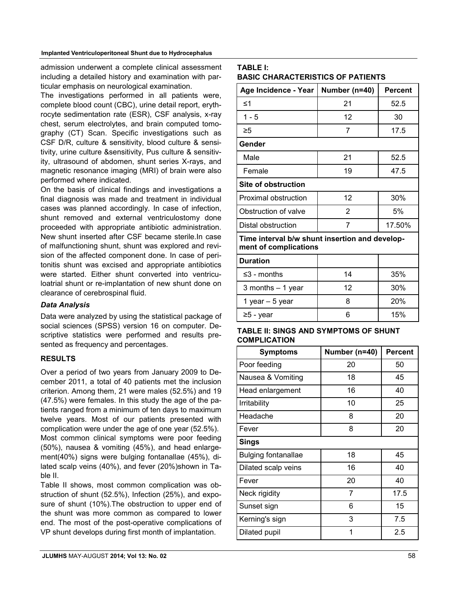#### **Implanted Ventriculoperitoneal Shunt due to Hydrocephalus**

admission underwent a complete clinical assessment including a detailed history and examination with particular emphasis on neurological examination.

The investigations performed in all patients were, complete blood count (CBC), urine detail report, erythrocyte sedimentation rate (ESR), CSF analysis, x-ray chest, serum electrolytes, and brain computed tomography (CT) Scan. Specific investigations such as CSF D/R, culture & sensitivity, blood culture & sensitivity, urine culture &sensitivity, Pus culture & sensitivity, ultrasound of abdomen, shunt series X-rays, and magnetic resonance imaging (MRI) of brain were also performed where indicated.

On the basis of clinical findings and investigations a final diagnosis was made and treatment in individual cases was planned accordingly. In case of infection, shunt removed and external ventriculostomy done proceeded with appropriate antibiotic administration. New shunt inserted after CSF became sterile.In case of malfunctioning shunt, shunt was explored and revision of the affected component done. In case of peritonitis shunt was excised and appropriate antibiotics were started. Either shunt converted into ventriculoatrial shunt or re-implantation of new shunt done on clearance of cerebrospinal fluid.

## *Data Analysis*

Data were analyzed by using the statistical package of social sciences (SPSS) version 16 on computer. Descriptive statistics were performed and results presented as frequency and percentages.

## **RESULTS**

Over a period of two years from January 2009 to December 2011, a total of 40 patients met the inclusion criterion. Among them, 21 were males (52.5%) and 19 (47.5%) were females. In this study the age of the patients ranged from a minimum of ten days to maximum twelve years. Most of our patients presented with complication were under the age of one year (52.5%). Most common clinical symptoms were poor feeding (50%), nausea & vomiting (45%), and head enlargement(40%) signs were bulging fontanallae (45%), dilated scalp veins (40%), and fever (20%)shown in Table II.

Table II shows, most common complication was obstruction of shunt (52.5%), Infection (25%), and exposure of shunt (10%).The obstruction to upper end of the shunt was more common as compared to lower end. The most of the post-operative complications of VP shunt develops during first month of implantation.

## **TABLE I: BASIC CHARACTERISTICS OF PATIENTS**

| Number (n=40)                                                           | <b>Percent</b> |  |  |  |  |
|-------------------------------------------------------------------------|----------------|--|--|--|--|
| 21                                                                      | 52.5           |  |  |  |  |
| 12                                                                      | 30             |  |  |  |  |
| 7                                                                       | 17.5           |  |  |  |  |
| Gender                                                                  |                |  |  |  |  |
| 21                                                                      | 52.5           |  |  |  |  |
| 19                                                                      | 47.5           |  |  |  |  |
|                                                                         |                |  |  |  |  |
| 12                                                                      | 30%            |  |  |  |  |
| 2                                                                       | 5%             |  |  |  |  |
| 7                                                                       | 17.50%         |  |  |  |  |
| Time interval b/w shunt insertion and develop-<br>ment of complications |                |  |  |  |  |
|                                                                         |                |  |  |  |  |
| 14                                                                      | 35%            |  |  |  |  |
|                                                                         |                |  |  |  |  |

| -0 - 111011010     |    | <u> vv /v</u> |
|--------------------|----|---------------|
| 3 months $-1$ year | 12 | 30%           |
| 1 year $-5$ year   |    | <b>20%</b>    |
| $≥5$ - year        |    | 15%           |

## **TABLE II: SINGS AND SYMPTOMS OF SHUNT COMPLICATION**

| Symptoms                   | Number (n=40) | <b>Percent</b> |
|----------------------------|---------------|----------------|
| Poor feeding               | 20            | 50             |
| Nausea & Vomiting          | 18            | 45             |
| Head enlargement           | 16            | 40             |
| Irritability               | 10            | 25             |
| Headache                   | 8             | 20             |
| Fever                      | 8             | 20             |
| Sings                      |               |                |
| <b>Bulging fontanallae</b> | 18            | 45             |
| Dilated scalp veins        | 16            | 40             |
| Fever                      | 20            | 40             |
| Neck rigidity              | 7             | 17.5           |
| Sunset sign                | 6             | 15             |
| Kerning's sign             | 3             | 7.5            |
| Dilated pupil              | 1             | 2.5            |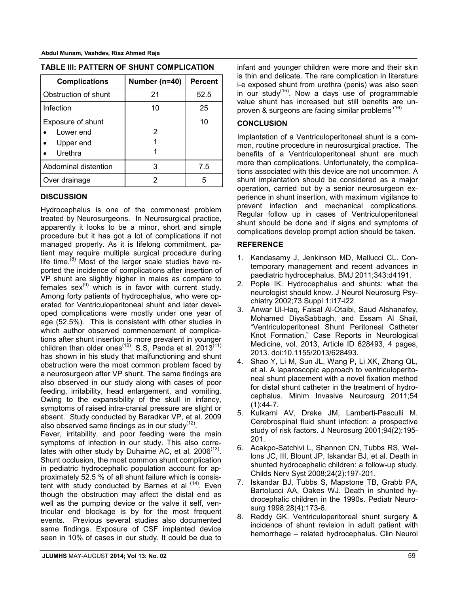| <b>Complications</b>                                   | Number (n=40) | <b>Percent</b> |  |
|--------------------------------------------------------|---------------|----------------|--|
| Obstruction of shunt                                   | 21            | 52.5           |  |
| Infection                                              | 10            | 25             |  |
| Exposure of shunt<br>Lower end<br>Upper end<br>Urethra | 2             | 10             |  |
| Abdominal distention                                   | З             | 7.5            |  |
| Over drainage                                          | 2             | 5              |  |

| TABLE III: PATTERN OF SHUNT COMPLICATION |  |  |  |  |
|------------------------------------------|--|--|--|--|
|------------------------------------------|--|--|--|--|

#### **DISCUSSION**

Hydrocephalus is one of the commonest problem treated by Neurosurgeons. In Neurosurgical practice, apparently it looks to be a minor, short and simple procedure but it has got a lot of complications if not managed properly. As it is lifelong commitment, patient may require multiple surgical procedure during life time.<sup>(8)</sup> Most of the larger scale studies have reported the incidence of complications after insertion of VP shunt are slightly higher in males as compare to females  $sex^{(9)}$  which is in favor with current study. Among forty patients of hydrocephalus, who were operated for Ventriculoperitoneal shunt and later developed complications were mostly under one year of age (52.5%). This is consistent with other studies in which author observed commencement of complications after shunt insertion is more prevalent in younger children than older ones<sup> $(10)$ </sup>. S.S, Panda et al. 2013 $(11)$ has shown in his study that malfunctioning and shunt obstruction were the most common problem faced by a neurosurgeon after VP shunt. The same findings are also observed in our study along with cases of poor feeding, irritability, head enlargement, and vomiting. Owing to the expansibility of the skull in infancy, symptoms of raised intra-cranial pressure are slight or absent. Study conducted by Baradkar VP, et al. 2009 also observed same findings as in our study $(12)$ .

Fever, irritability, and poor feeding were the main symptoms of infection in our study. This also correlates with other study by Duhaime AC, et al.  $2006^{(13)}$ . Shunt occlusion, the most common shunt complication in pediatric hydrocephalic population account for approximately 52.5 % of all shunt failure which is consistent with study conducted by Barnes et al  $(14)$ . Even though the obstruction may affect the distal end as well as the pumping device or the valve it self, ventricular end blockage is by for the most frequent events. Previous several studies also documented same findings. Exposure of CSF implanted device seen in 10% of cases in our study. It could be due to infant and younger children were more and their skin is thin and delicate. The rare complication in literature i-e exposed shunt from urethra (penis) was also seen in our studv $(15)$ . Now a days use of programmable value shunt has increased but still benefits are unproven & surgeons are facing similar problems (16).

#### **CONCLUSION**

Implantation of a Ventriculoperitoneal shunt is a common, routine procedure in neurosurgical practice. The benefits of a Ventriculoperitoneal shunt are much more than complications. Unfortunately, the complications associated with this device are not uncommon. A shunt implantation should be considered as a major operation, carried out by a senior neurosurgeon experience in shunt insertion, with maximum vigilance to prevent infection and mechanical complications. Regular follow up in cases of Ventriculoperitoneal shunt should be done and if signs and symptoms of complications develop prompt action should be taken.

#### **REFERENCE**

- 1. Kandasamy J, Jenkinson MD, Mallucci CL. Contemporary management and recent advances in paediatric hydrocephalus. BMJ 2011;343:d4191.
- 2. Pople IK. Hydrocephalus and shunts: what the neurologist should know. J Neurol Neurosurg Psychiatry 2002;73 Suppl 1:i17-i22.
- 3. Anwar Ul-Haq, Faisal Al-Otaibi, Saud Alshanafey, Mohamed DiyaSabbagh, and Essam Al Shail, "Ventriculoperitoneal Shunt Peritoneal Catheter Knot Formation," Case Reports in Neurological Medicine, vol. 2013, Article ID 628493, 4 pages, 2013. doi:10.1155/2013/628493.
- 4. Shao Y, Li M, Sun JL, Wang P, Li XK, Zhang QL, et al. A laparoscopic approach to ventriculoperitoneal shunt placement with a novel fixation method for distal shunt catheter in the treatment of hydrocephalus. Minim Invasive Neurosurg 2011;54  $(1):44-7.$
- 5. Kulkarni AV, Drake JM, Lamberti-Pasculli M. Cerebrospinal fluid shunt infection: a prospective study of risk factors. J Neurosurg 2001;94(2):195- 201.
- 6. Acakpo-Satchivi L, Shannon CN, Tubbs RS, Wellons JC, III, Blount JP, Iskandar BJ, et al. Death in shunted hydrocephalic children: a follow-up study. Childs Nerv Syst 2008;24(2):197-201.
- 7. Iskandar BJ, Tubbs S, Mapstone TB, Grabb PA, Bartolucci AA, Oakes WJ. Death in shunted hydrocephalic children in the 1990s. Pediatr Neurosurg 1998;28(4):173-6.
- 8. Reddy GK. Ventriculoperitoreal shunt surgery & incidence of shunt revision in adult patient with hemorrhage – related hydrocephalus. Clin Neurol